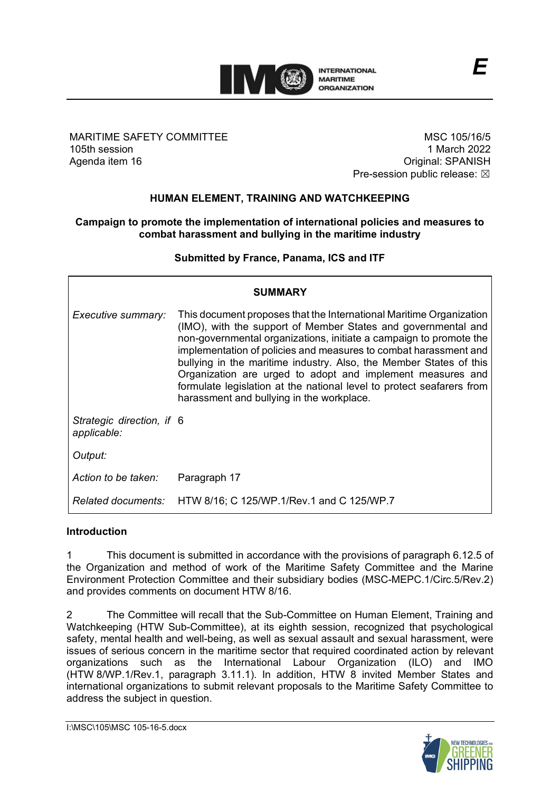

MARITIME SAFETY COMMITTEE 105th session Agenda item 16

MSC 105/16/5 1 March 2022 Original: SPANISH Pre-session public release:  $\boxtimes$ 

# **HUMAN ELEMENT, TRAINING AND WATCHKEEPING**

#### **Campaign to promote the implementation of international policies and measures to combat harassment and bullying in the maritime industry**

**Submitted by France, Panama, ICS and ITF**

| <b>SUMMARY</b>                           |                                                                                                                                                                                                                                                                                                                                                                                                                                                                                                                                          |
|------------------------------------------|------------------------------------------------------------------------------------------------------------------------------------------------------------------------------------------------------------------------------------------------------------------------------------------------------------------------------------------------------------------------------------------------------------------------------------------------------------------------------------------------------------------------------------------|
| Executive summary:                       | This document proposes that the International Maritime Organization<br>(IMO), with the support of Member States and governmental and<br>non-governmental organizations, initiate a campaign to promote the<br>implementation of policies and measures to combat harassment and<br>bullying in the maritime industry. Also, the Member States of this<br>Organization are urged to adopt and implement measures and<br>formulate legislation at the national level to protect seafarers from<br>harassment and bullying in the workplace. |
| Strategic direction, if 6<br>applicable: |                                                                                                                                                                                                                                                                                                                                                                                                                                                                                                                                          |
| Output:                                  |                                                                                                                                                                                                                                                                                                                                                                                                                                                                                                                                          |
| Action to be taken:                      | Paragraph 17                                                                                                                                                                                                                                                                                                                                                                                                                                                                                                                             |
|                                          | Related documents: HTW 8/16; C 125/WP.1/Rev.1 and C 125/WP.7                                                                                                                                                                                                                                                                                                                                                                                                                                                                             |

### **Introduction**

1 This document is submitted in accordance with the provisions of paragraph 6.12.5 of the Organization and method of work of the Maritime Safety Committee and the Marine Environment Protection Committee and their subsidiary bodies (MSC-MEPC.1/Circ.5/Rev.2) and provides comments on document HTW 8/16.

2 The Committee will recall that the Sub-Committee on Human Element, Training and Watchkeeping (HTW Sub-Committee), at its eighth session, recognized that psychological safety, mental health and well-being, as well as sexual assault and sexual harassment, were issues of serious concern in the maritime sector that required coordinated action by relevant organizations such as the International Labour Organization (ILO) and IMO (HTW 8/WP.1/Rev.1, paragraph 3.11.1). In addition, HTW 8 invited Member States and international organizations to submit relevant proposals to the Maritime Safety Committee to address the subject in question.

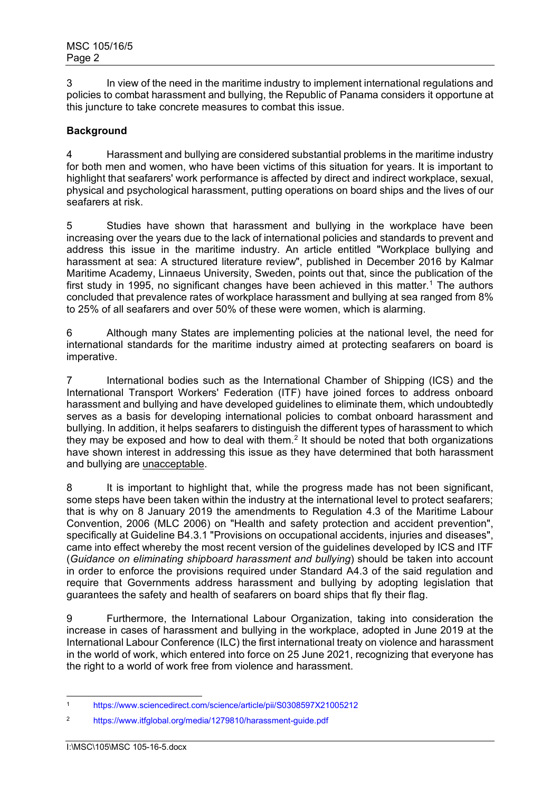3 In view of the need in the maritime industry to implement international regulations and policies to combat harassment and bullying, the Republic of Panama considers it opportune at this juncture to take concrete measures to combat this issue.

## **Background**

4 Harassment and bullying are considered substantial problems in the maritime industry for both men and women, who have been victims of this situation for years. It is important to highlight that seafarers' work performance is affected by direct and indirect workplace, sexual, physical and psychological harassment, putting operations on board ships and the lives of our seafarers at risk.

5 Studies have shown that harassment and bullying in the workplace have been increasing over the years due to the lack of international policies and standards to prevent and address this issue in the maritime industry. An article entitled "Workplace bullying and harassment at sea: A structured literature review", published in December 2016 by Kalmar Maritime Academy, Linnaeus University, Sweden, points out that, since the publication of the first study in 1995, no significant changes have been achieved in this matter.<sup>1</sup> The authors concluded that prevalence rates of workplace harassment and bullying at sea ranged from 8% to 25% of all seafarers and over 50% of these were women, which is alarming.

6 Although many States are implementing policies at the national level, the need for international standards for the maritime industry aimed at protecting seafarers on board is imperative.

7 International bodies such as the International Chamber of Shipping (ICS) and the International Transport Workers' Federation (ITF) have joined forces to address onboard harassment and bullying and have developed guidelines to eliminate them, which undoubtedly serves as a basis for developing international policies to combat onboard harassment and bullying. In addition, it helps seafarers to distinguish the different types of harassment to which they may be exposed and how to deal with them.<sup>[2](#page-1-1)</sup> It should be noted that both organizations have shown interest in addressing this issue as they have determined that both harassment and bullying are unacceptable.

8 It is important to highlight that, while the progress made has not been significant, some steps have been taken within the industry at the international level to protect seafarers; that is why on 8 January 2019 the amendments to Regulation 4.3 of the Maritime Labour Convention, 2006 (MLC 2006) on "Health and safety protection and accident prevention", specifically at Guideline B4.3.1 "Provisions on occupational accidents, injuries and diseases", came into effect whereby the most recent version of the guidelines developed by ICS and ITF (*Guidance on eliminating shipboard harassment and bullying*) should be taken into account in order to enforce the provisions required under Standard A4.3 of the said regulation and require that Governments address harassment and bullying by adopting legislation that guarantees the safety and health of seafarers on board ships that fly their flag.

9 Furthermore, the International Labour Organization, taking into consideration the increase in cases of harassment and bullying in the workplace, adopted in June 2019 at the International Labour Conference (ILC) the first international treaty on violence and harassment in the world of work, which entered into force on 25 June 2021, recognizing that everyone has the right to a world of work free from violence and harassment.

<span id="page-1-0"></span><sup>1</sup> https://www.sciencedirect.com/science/article/pii/S0308597X21005212

<span id="page-1-1"></span><sup>2</sup> https://www.itfglobal.org/media/1279810/harassment-guide.pdf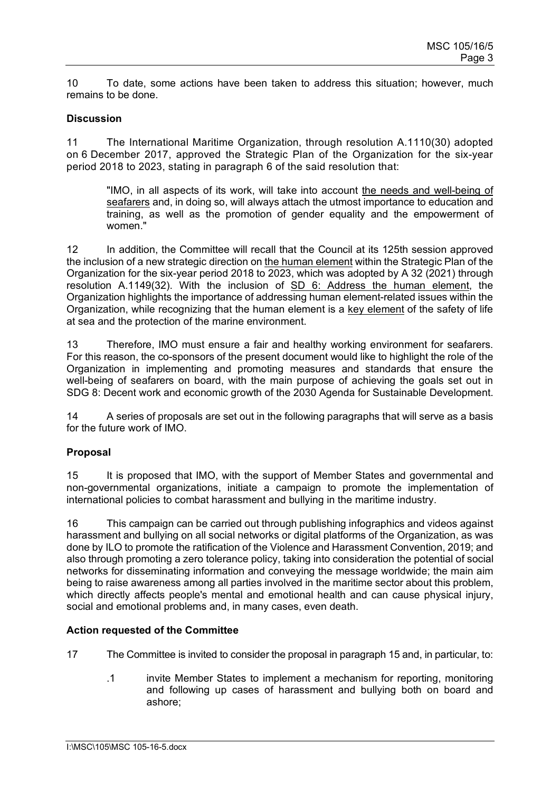10 To date, some actions have been taken to address this situation; however, much remains to be done.

### **Discussion**

11 The International Maritime Organization, through resolution A.1110(30) adopted on 6 December 2017, approved the Strategic Plan of the Organization for the six-year period 2018 to 2023, stating in paragraph 6 of the said resolution that:

"IMO, in all aspects of its work, will take into account the needs and well-being of seafarers and, in doing so, will always attach the utmost importance to education and training, as well as the promotion of gender equality and the empowerment of women."

12 In addition, the Committee will recall that the Council at its 125th session approved the inclusion of a new strategic direction on the human element within the Strategic Plan of the Organization for the six-year period 2018 to 2023, which was adopted by A 32 (2021) through resolution A.1149(32). With the inclusion of SD 6: Address the human element, the Organization highlights the importance of addressing human element-related issues within the Organization, while recognizing that the human element is a key element of the safety of life at sea and the protection of the marine environment.

13 Therefore, IMO must ensure a fair and healthy working environment for seafarers. For this reason, the co-sponsors of the present document would like to highlight the role of the Organization in implementing and promoting measures and standards that ensure the well-being of seafarers on board, with the main purpose of achieving the goals set out in SDG 8: Decent work and economic growth of the 2030 Agenda for Sustainable Development.

14 A series of proposals are set out in the following paragraphs that will serve as a basis for the future work of IMO.

## **Proposal**

15 It is proposed that IMO, with the support of Member States and governmental and non-governmental organizations, initiate a campaign to promote the implementation of international policies to combat harassment and bullying in the maritime industry.

16 This campaign can be carried out through publishing infographics and videos against harassment and bullying on all social networks or digital platforms of the Organization, as was done by ILO to promote the ratification of the Violence and Harassment Convention, 2019; and also through promoting a zero tolerance policy, taking into consideration the potential of social networks for disseminating information and conveying the message worldwide; the main aim being to raise awareness among all parties involved in the maritime sector about this problem, which directly affects people's mental and emotional health and can cause physical injury, social and emotional problems and, in many cases, even death.

#### **Action requested of the Committee**

- 17 The Committee is invited to consider the proposal in paragraph 15 and, in particular, to:
	- .1 invite Member States to implement a mechanism for reporting, monitoring and following up cases of harassment and bullying both on board and ashore;